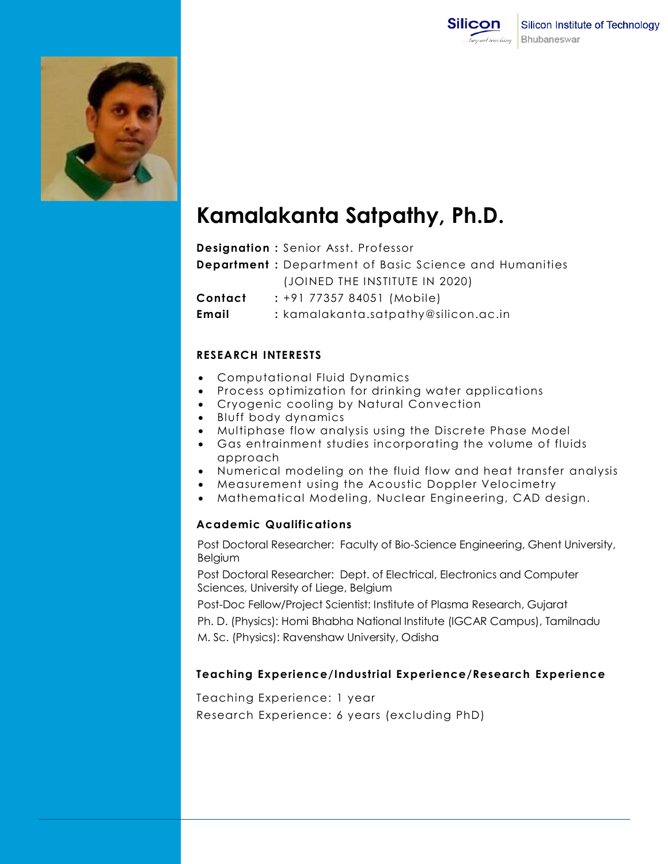



# **Kamalakanta Satpathy, Ph.D.**

**Designation :** Senior Asst. Professor

**Department :** Department of Basic Science and Humanities (JOINED THE INSTITUTE IN 2020)

**Contact :** +91 77357 84051 (Mobile)

**Email :** kamalakanta.satpathy@silicon.ac.in

### **RESEARCH INTERESTS**

- Computational Fluid Dynamics
- Process optimization for drinking water applications
- Cryogenic cooling by Natural Convection
- Bluff body dynamics
- Multiphase flow analysis using the Discrete Phase Model
- Gas entrainment studies incorporating the volume of fluids approach
- Numerical modeling on the fluid flow and heat transfer analysis
- Measurement using the Acoustic Doppler Velocimetry
- Mathematical Modeling, Nuclear Engineering, CAD design.

### **Academic Qualifications**

Post Doctoral Researcher: Faculty of Bio-Science Engineering, Ghent University, Belgium

Post Doctoral Researcher: Dept. of Electrical, Electronics and Computer Sciences, University of Liege, Belgium

Post-Doc Fellow/Project Scientist: Institute of Plasma Research, Gujarat

Ph. D. (Physics): Homi Bhabha National Institute (IGCAR Campus), Tamilnadu M. Sc. (Physics): Ravenshaw University, Odisha

# **Teaching Experience/Industrial Experience/Research Experience**

Teaching Experience: 1 year

Research Experience: 6 years (excluding PhD)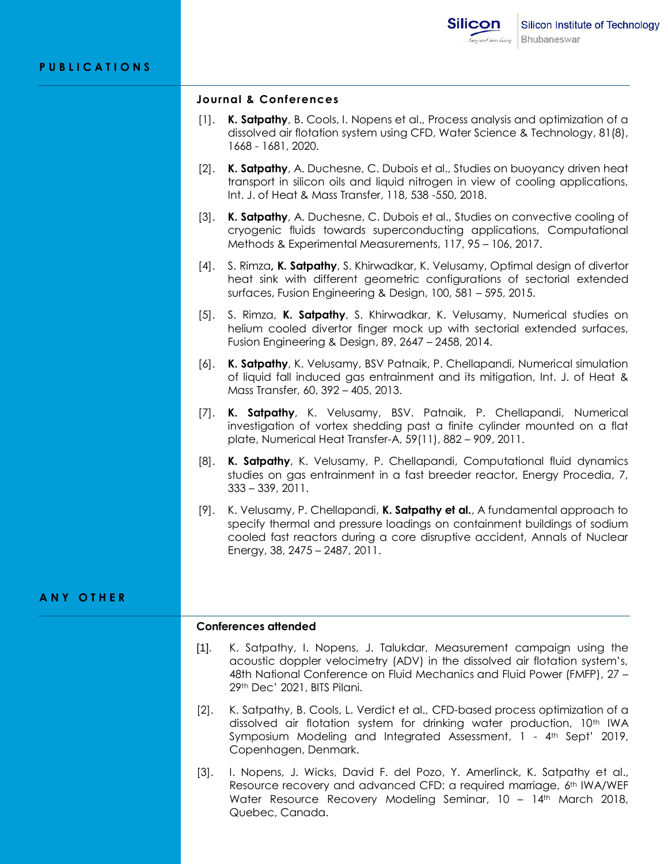#### **Journal & Conferences**

- [1]. **K. Satpathy**, B. Cools, I. Nopens et al., Process analysis and optimization of a dissolved air flotation system using CFD, Water Science & Technology, 81(8), 1668 - 1681, 2020.
- [2]. **K. Satpathy**, A. Duchesne, C. Dubois et al., Studies on buoyancy driven heat transport in silicon oils and liquid nitrogen in view of cooling applications, Int. J. of Heat & Mass Transfer, 118, 538 -550, 2018.
- [3]. **K. Satpathy**, A. Duchesne, C. Dubois et al., Studies on convective cooling of cryogenic fluids towards superconducting applications, Computational Methods & Experimental Measurements, 117, 95 – 106, 2017.
- [4]. S. Rimza**, K. Satpathy**, S. Khirwadkar, K. Velusamy, Optimal design of divertor heat sink with different geometric configurations of sectorial extended surfaces, Fusion Engineering & Design, 100, 581 – 595, 2015.
- [5]. S. Rimza, **K. Satpathy**, S. Khirwadkar, K. Velusamy, Numerical studies on helium cooled divertor finger mock up with sectorial extended surfaces, Fusion Engineering & Design, 89, 2647 – 2458, 2014.
- [6]. **K. Satpathy**, K. Velusamy, BSV Patnaik, P. Chellapandi, Numerical simulation of liquid fall induced gas entrainment and its mitigation, Int. J. of Heat & Mass Transfer, 60, 392 – 405, 2013.
- [7]. **K. Satpathy**, K. Velusamy, BSV. Patnaik, P. Chellapandi, Numerical investigation of vortex shedding past a finite cylinder mounted on a flat plate, Numerical Heat Transfer-A, 59(11), 882 – 909, 2011.
- [8]. **K. Satpathy**, K. Velusamy, P. Chellapandi, Computational fluid dynamics studies on gas entrainment in a fast breeder reactor, Energy Procedia, 7, 333 – 339, 2011.
- [9]. K. Velusamy, P. Chellapandi, **K. Satpathy et al.**, A fundamental approach to specify thermal and pressure loadings on containment buildings of sodium cooled fast reactors during a core disruptive accident, Annals of Nuclear Energy, 38, 2475 – 2487, 2011.

### **A N Y O T H E R**

#### **Conferences attended**

- [1]. K. Satpathy, I. Nopens, J. Talukdar, Measurement campaign using the acoustic doppler velocimetry (ADV) in the dissolved air flotation system's, 48th National Conference on Fluid Mechanics and Fluid Power (FMFP), 27 – 29th Dec' 2021, BITS Pilani.
- [2]. K. Satpathy, B. Cools, L. Verdict et al., CFD-based process optimization of a dissolved air flotation system for drinking water production, 10th IWA Symposium Modeling and Integrated Assessment, 1 - 4<sup>th</sup> Sept<sup>1</sup> 2019, Copenhagen, Denmark.
- [3]. I. Nopens, J. Wicks, David F. del Pozo, Y. Amerlinck, K. Satpathy et al., Resource recovery and advanced CFD: a required marriage, 6th IWA/WEF Water Resource Recovery Modeling Seminar, 10 - 14th March 2018, Quebec, Canada.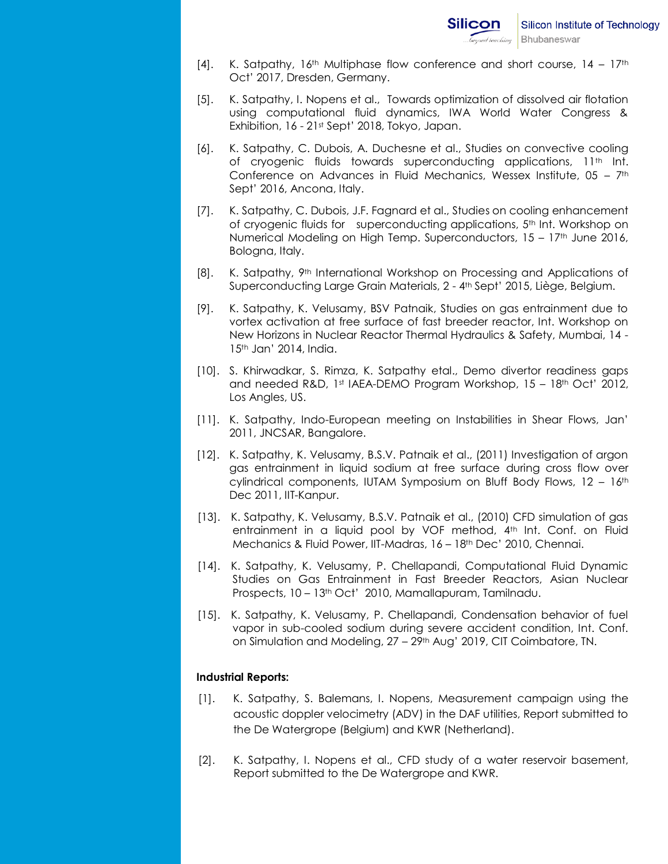- [4]. K. Satpathy,  $16<sup>th</sup>$  Multiphase flow conference and short course,  $14 17<sup>th</sup>$ Oct' 2017, Dresden, Germany.
- [5]. K. Satpathy, I. Nopens et al., Towards optimization of dissolved air flotation using computational fluid dynamics, IWA World Water Congress & Exhibition, 16 - 21st Sept' 2018, Tokyo, Japan.
- [6]. K. Satpathy, C. Dubois, A. Duchesne et al., Studies on convective cooling of cryogenic fluids towards superconducting applications, 11<sup>th</sup> Int. Conference on Advances in Fluid Mechanics, Wessex Institute, 05 – 7th Sept' 2016, Ancona, Italy.
- [7]. K. Satpathy, C. Dubois, J.F. Fagnard et al., Studies on cooling enhancement of cryogenic fluids for superconducting applications, 5th Int. Workshop on Numerical Modeling on High Temp. Superconductors, 15 – 17th June 2016, Bologna, Italy.
- [8]. K. Satpathy, 9th International Workshop on Processing and Applications of Superconducting Large Grain Materials, 2 - 4th Sept' 2015, Liège, Belgium.
- [9]. K. Satpathy, K. Velusamy, BSV Patnaik, Studies on gas entrainment due to vortex activation at free surface of fast breeder reactor, Int. Workshop on New Horizons in Nuclear Reactor Thermal Hydraulics & Safety, Mumbai, 14 - 15th Jan' 2014, India.
- [10]. S. Khirwadkar, S. Rimza, K. Satpathy etal., Demo divertor readiness gaps and needed R&D, 1st IAEA-DEMO Program Workshop, 15 - 18th Oct' 2012, Los Angles, US.
- [11]. K. Satpathy, Indo-European meeting on Instabilities in Shear Flows, Jan' 2011, JNCSAR, Bangalore.
- [12]. K. Satpathy, K. Velusamy, B.S.V. Patnaik et al., (2011) Investigation of argon gas entrainment in liquid sodium at free surface during cross flow over cylindrical components, IUTAM Symposium on Bluff Body Flows, 12 - 16<sup>th</sup> Dec 2011, IIT-Kanpur.
- [13]. K. Satpathy, K. Velusamy, B.S.V. Patnaik et al., (2010) CFD simulation of gas entrainment in a liquid pool by VOF method, 4<sup>th</sup> Int. Conf. on Fluid Mechanics & Fluid Power, IIT-Madras, 16 – 18th Dec' 2010, Chennai.
- [14]. K. Satpathy, K. Velusamy, P. Chellapandi, Computational Fluid Dynamic Studies on Gas Entrainment in Fast Breeder Reactors, Asian Nuclear Prospects, 10 - 13<sup>th</sup> Oct<sup>1</sup> 2010, Mamallapuram, Tamilnadu.
- [15]. K. Satpathy, K. Velusamy, P. Chellapandi, Condensation behavior of fuel vapor in sub-cooled sodium during severe accident condition, Int. Conf. on Simulation and Modeling, 27 – 29th Aug' 2019, CIT Coimbatore, TN.

# **Industrial Reports:**

- [1]. K. Satpathy, S. Balemans, I. Nopens, Measurement campaign using the acoustic doppler velocimetry (ADV) in the DAF utilities, Report submitted to the De Watergrope (Belgium) and KWR (Netherland).
- [2]. K. Satpathy, I. Nopens et al., CFD study of a water reservoir basement, Report submitted to the De Watergrope and KWR.